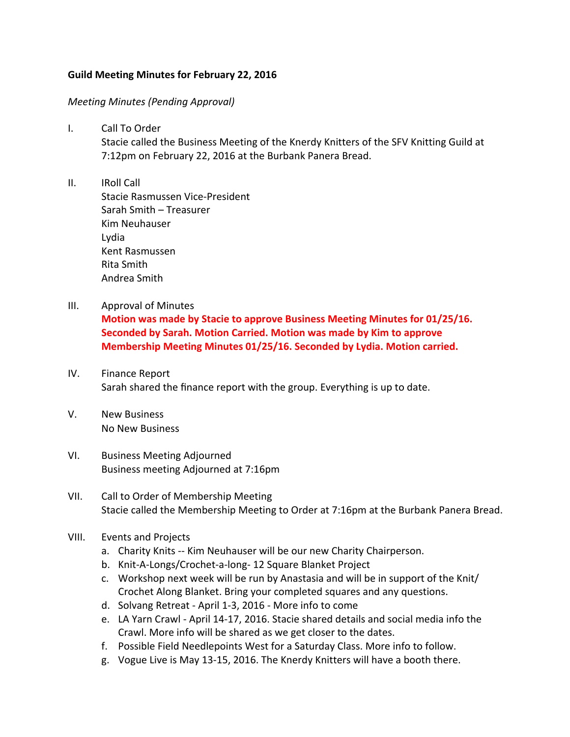## Guild Meeting Minutes for February 22, 2016

## *Meeting Minutes (Pending Approval)*

I. Call To Order

Stacie called the Business Meeting of the Knerdy Knitters of the SFV Knitting Guild at 7:12pm on February 22, 2016 at the Burbank Panera Bread.

- II. IRoll Call Stacie Rasmussen Vice-President Sarah Smith – Treasurer Kim Neuhauser Lydia Kent Rasmussen Rita Smith Andrea Smith
- III. Approval of Minutes

**Motion was made by Stacie to approve Business Meeting Minutes for 01/25/16. Seconded by Sarah. Motion Carried. Motion was made by Kim to approve Membership Meeting Minutes 01/25/16. Seconded by Lydia. Motion carried.** 

- IV. Finance Report Sarah shared the finance report with the group. Everything is up to date.
- V. New Business No New Business
- VI. Business Meeting Adjourned Business meeting Adjourned at 7:16pm
- VII. Call to Order of Membership Meeting Stacie called the Membership Meeting to Order at 7:16pm at the Burbank Panera Bread.
- VIII. Events and Projects
	- a. Charity Knits -- Kim Neuhauser will be our new Charity Chairperson.
	- b. Knit-A-Longs/Crochet-a-long- 12 Square Blanket Project
	- c. Workshop next week will be run by Anastasia and will be in support of the Knit/ Crochet Along Blanket. Bring your completed squares and any questions.
	- d. Solvang Retreat April 1-3, 2016 More info to come
	- e. LA Yarn Crawl April 14-17, 2016. Stacie shared details and social media info the Crawl. More info will be shared as we get closer to the dates.
	- f. Possible Field Needlepoints West for a Saturday Class. More info to follow.
	- g. Vogue Live is May 13-15, 2016. The Knerdy Knitters will have a booth there.